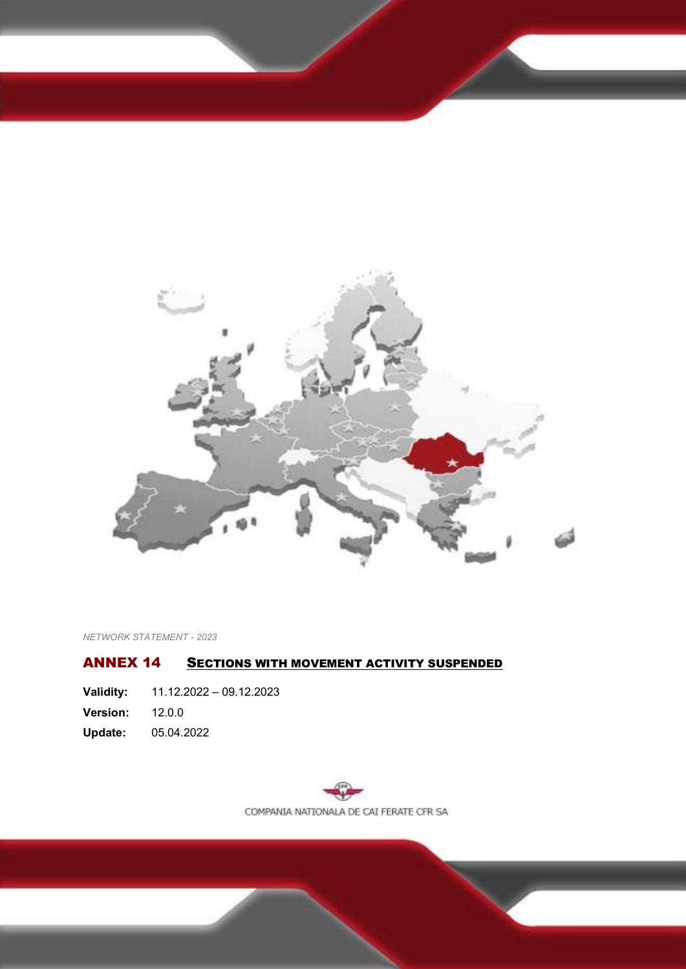

*NETWORK STATEMENT - 2023*

### <span id="page-0-0"></span>ANNEX 14 SECTIONS WITH MOVEMENT ACTIVITY SUSPENDED

<span id="page-0-1"></span>

| Validity:       | $11.12.2022 - 09.12.2023$ |
|-----------------|---------------------------|
| <b>Version:</b> | 12.0.0                    |
| Update:         | 05.04.2022                |

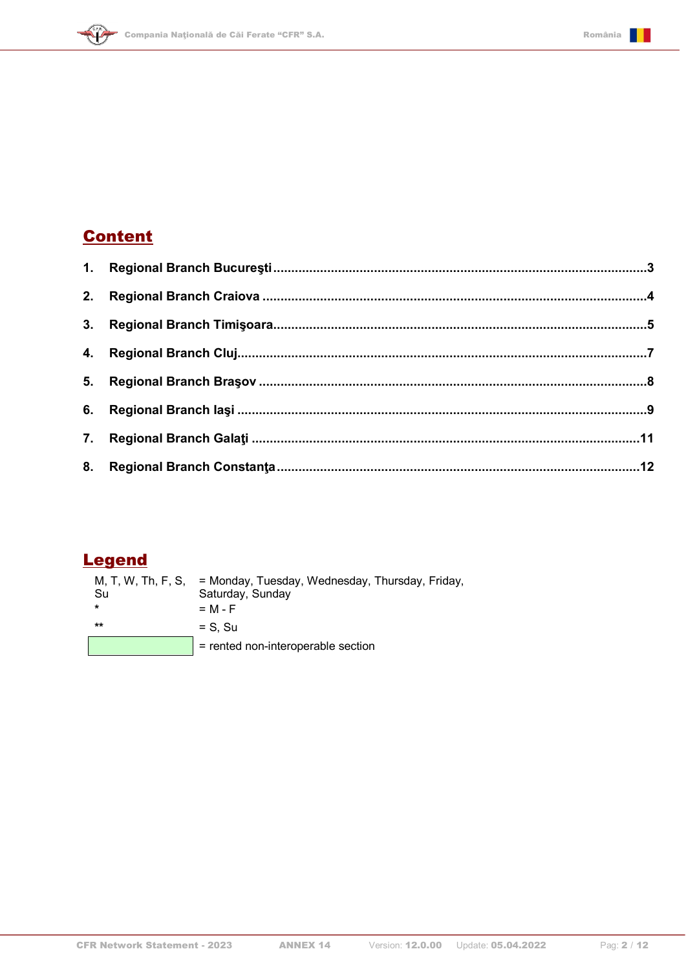

# <span id="page-1-0"></span>**Content**

 $\left\langle \mathbf{\hat{H}}\right\rangle$ 

## **Legend**

| Su    | M, T, W, Th, F, S, = Monday, Tuesday, Wednesday, Thursday, Friday,<br>Saturday, Sunday |
|-------|----------------------------------------------------------------------------------------|
|       | $= M - F$                                                                              |
| $***$ | $=$ S. Su                                                                              |
|       | = rented non-interoperable section                                                     |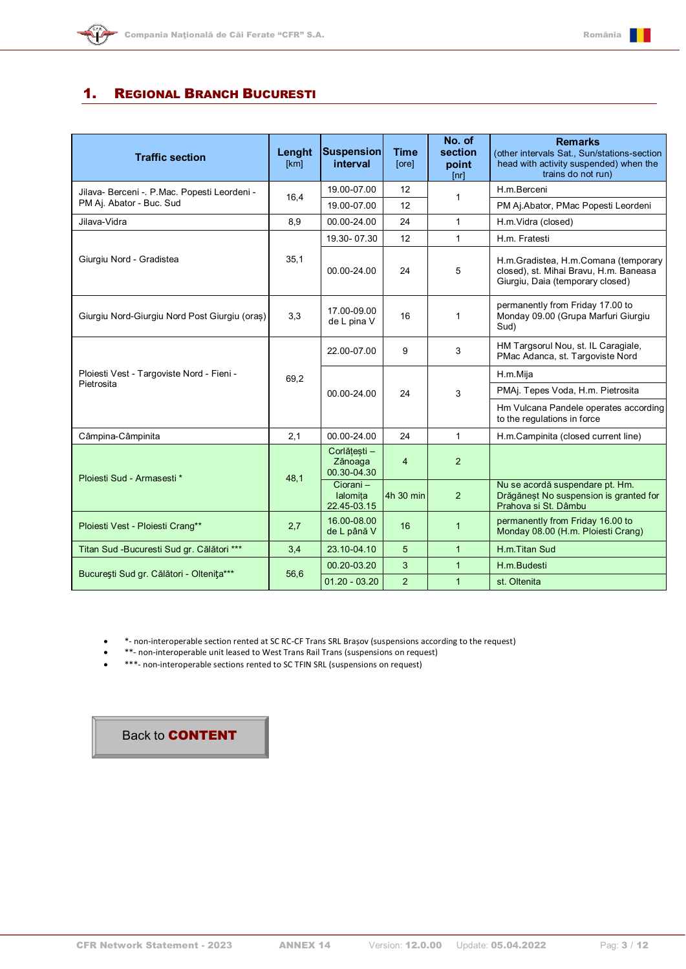

#### <span id="page-2-0"></span>1. REGIONAL BRANCH BUCURESTI

| <b>Traffic section</b>                        | Lenght<br>[km] | <b>Suspension</b><br>interval          | <b>Time</b><br>[ore] | No. of<br>section<br>point<br>[nr] | <b>Remarks</b><br>(other intervals Sat., Sun/stations-section<br>head with activity suspended) when the<br>trains do not run) |
|-----------------------------------------------|----------------|----------------------------------------|----------------------|------------------------------------|-------------------------------------------------------------------------------------------------------------------------------|
| Jilava- Berceni - P.Mac. Popesti Leordeni -   | 16,4           | 19.00-07.00                            | 12                   | 1                                  | H.m.Berceni                                                                                                                   |
| PM Aj. Abator - Buc. Sud                      |                | 19.00-07.00                            | 12                   |                                    | PM Aj.Abator, PMac Popesti Leordeni                                                                                           |
| Jilava-Vidra                                  | 8,9            | 00.00-24.00                            | 24                   | $\mathbf{1}$                       | H.m.Vidra (closed)                                                                                                            |
|                                               |                | 19.30-07.30                            | 12                   | $\mathbf{1}$                       | H.m. Fratesti                                                                                                                 |
| Giurgiu Nord - Gradistea                      | 35,1           | 00.00-24.00                            | 24                   | 5                                  | H.m.Gradistea, H.m.Comana (temporary<br>closed), st. Mihai Bravu, H.m. Baneasa<br>Giurgiu, Daia (temporary closed)            |
| Giurgiu Nord-Giurgiu Nord Post Giurgiu (oraș) | 3,3            | 17.00-09.00<br>de L pina V             | 16                   | 1                                  | permanently from Friday 17.00 to<br>Monday 09.00 (Grupa Marfuri Giurgiu<br>Sud)                                               |
| Ploiesti Vest - Targoviste Nord - Fieni -     | 69,2           | 22.00-07.00                            | 9                    | 3                                  | HM Targsorul Nou, st. IL Caragiale,<br>PMac Adanca, st. Targoviste Nord                                                       |
|                                               |                | 00.00-24.00                            |                      | 3                                  | H.m.Mija                                                                                                                      |
| Pietrosita                                    |                |                                        | 24                   |                                    | PMAj. Tepes Voda, H.m. Pietrosita                                                                                             |
|                                               |                |                                        |                      |                                    | Hm Vulcana Pandele operates according<br>to the regulations in force                                                          |
| Câmpina-Câmpinita                             | 2.1            | 00.00-24.00                            | 24                   | $\mathbf{1}$                       | H.m.Campinita (closed current line)                                                                                           |
| Ploiesti Sud - Armasesti *                    | 48,1           | Corlătesti -<br>Zănoaga<br>00.30-04.30 | $\overline{4}$       | 2                                  |                                                                                                                               |
|                                               |                | Ciorani-<br>lalomita<br>22.45-03.15    | 4h 30 min            | 2                                  | Nu se acordă suspendare pt. Hm.<br>Drăgăneșt No suspension is granted for<br>Prahova și St. Dâmbu                             |
| Ploiesti Vest - Ploiesti Crang**              | 2,7            | 16.00-08.00<br>de L până V             | 16                   | $\mathbf{1}$                       | permanently from Friday 16.00 to<br>Monday 08.00 (H.m. Ploiesti Crang)                                                        |
| Titan Sud -Bucuresti Sud gr. Călători ***     | 3,4            | 23.10-04.10                            | 5                    | $\mathbf{1}$                       | H.m.Titan Sud                                                                                                                 |
|                                               |                | 00.20-03.20                            | 3                    | $\mathbf{1}$                       | H.m.Budesti                                                                                                                   |
| București Sud gr. Călători - Oltenița***      | 56,6           | $01.20 - 03.20$                        | $\overline{2}$       | $\mathbf{1}$                       | st. Oltenita                                                                                                                  |

• \*- non-interoperable section rented at SC RC-CF Trans SRL Brașov (suspensions according to the request)

- \*\*- non-interoperable unit leased to West Trans Rail Trans (suspensions on request)
- \*\*\*- non-interoperable sections rented to SC TFIN SRL (suspensions on request)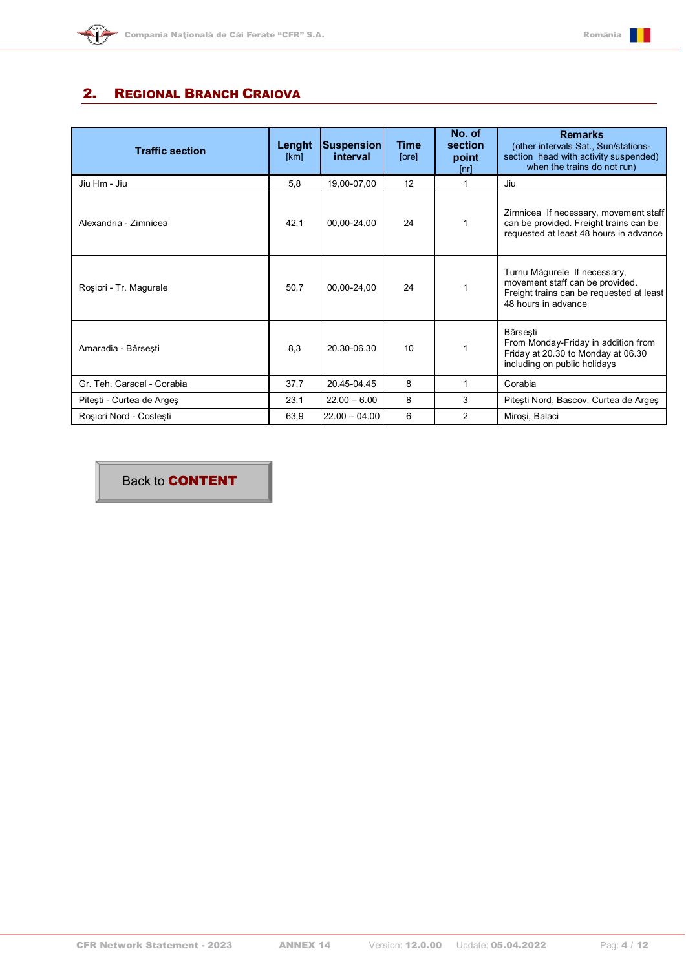

#### <span id="page-3-0"></span>2. REGIONAL BRANCH CRAIOVA

| <b>Traffic section</b>     | Lenght<br>[km] | <b>Suspension</b><br>interval | <b>Time</b><br>[ore] | No. of<br>section<br>point<br>[nr] | <b>Remarks</b><br>(other intervals Sat., Sun/stations-<br>section head with activity suspended)<br>when the trains do not run)     |
|----------------------------|----------------|-------------------------------|----------------------|------------------------------------|------------------------------------------------------------------------------------------------------------------------------------|
| Jiu Hm - Jiu               | 5,8            | 19,00-07,00                   | 12                   | 1                                  | Jiu                                                                                                                                |
| Alexandria - Zimnicea      | 42,1           | 00,00-24,00                   | 24                   |                                    | Zimnicea If necessary, movement staff<br>can be provided. Freight trains can be<br>requested at least 48 hours in advance          |
| Roșiori - Tr. Magurele     | 50,7           | 00,00-24,00                   | 24                   |                                    | Turnu Măgurele If necessary,<br>movement staff can be provided.<br>Freight trains can be requested at least<br>48 hours in advance |
| Amaradia - Bârsești        | 8,3            | 20.30-06.30                   | 10                   |                                    | Bârsesti<br>From Monday-Friday in addition from<br>Friday at 20.30 to Monday at 06.30<br>including on public holidays              |
| Gr. Teh. Caracal - Corabia | 37,7           | 20.45-04.45                   | 8                    | 1                                  | Corabia                                                                                                                            |
| Pitești - Curtea de Argeș  | 23,1           | $22.00 - 6.00$                | 8                    | 3                                  | Pitești Nord, Bascov, Curtea de Argeș                                                                                              |
| Rosiori Nord - Costesti    | 63,9           | $22.00 - 04.00$               | 6                    | $\mathcal{P}$                      | Miroși, Balaci                                                                                                                     |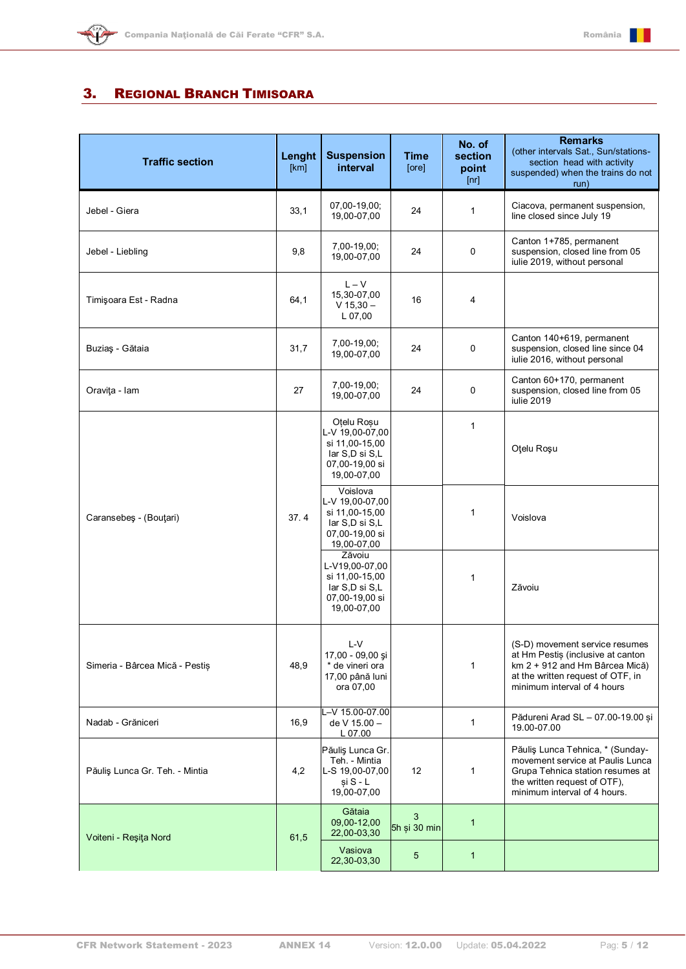

#### <span id="page-4-0"></span>3. REGIONAL BRANCH TIMISOARA

| <b>Traffic section</b>         | Lenght<br>[km] | <b>Suspension</b><br>interval                                                                      | <b>Time</b><br>[ore] | No. of<br>section<br>point<br>[nr] | <b>Remarks</b><br>(other intervals Sat., Sun/stations-<br>section head with activity<br>suspended) when the trains do not<br>run)                                         |
|--------------------------------|----------------|----------------------------------------------------------------------------------------------------|----------------------|------------------------------------|---------------------------------------------------------------------------------------------------------------------------------------------------------------------------|
| Jebel - Giera                  | 33,1           | 07,00-19,00;<br>19,00-07,00                                                                        | 24                   | 1                                  | Ciacova, permanent suspension,<br>line closed since July 19                                                                                                               |
| Jebel - Liebling               | 9,8            | 7,00-19,00;<br>19,00-07,00                                                                         | 24                   | 0                                  | Canton 1+785, permanent<br>suspension, closed line from 05<br>iulie 2019, without personal                                                                                |
| Timişoara Est - Radna          | 64,1           | $L - V$<br>15,30-07,00<br>$V$ 15,30 $-$<br>L 07,00                                                 | 16                   | 4                                  |                                                                                                                                                                           |
| Buziaș - Gătaia                | 31,7           | 7,00-19,00;<br>19,00-07,00                                                                         | 24                   | 0                                  | Canton 140+619, permanent<br>suspension, closed line since 04<br>iulie 2016, without personal                                                                             |
| Oravita - Iam                  | 27             | 7,00-19,00;<br>19,00-07,00                                                                         | 24                   | 0                                  | Canton 60+170, permanent<br>suspension, closed line from 05<br>iulie 2019                                                                                                 |
| Caransebeş - (Bouţari)         | 37.4           | Otelu Rosu<br>L-V 19,00-07,00<br>si 11,00-15,00<br>lar S,D si S,L<br>07,00-19,00 si<br>19,00-07,00 |                      | $\mathbf{1}$                       | Oţelu Roşu                                                                                                                                                                |
|                                |                | Voislova<br>L-V 19,00-07,00<br>si 11,00-15,00<br>lar S,D si S,L<br>07,00-19,00 si<br>19,00-07,00   |                      | 1                                  | Voislova                                                                                                                                                                  |
|                                |                | Zăvoiu<br>L-V19,00-07,00<br>si 11,00-15,00<br>lar S,D si S,L<br>07,00-19,00 si<br>19,00-07,00      |                      | 1                                  | Zăvoiu                                                                                                                                                                    |
| Simeria - Bârcea Mică - Pestis | 48,9           | L-V<br>17,00 - 09,00 şi<br>* de vineri ora<br>17,00 până luni<br>ora 07,00                         |                      | 1                                  | (S-D) movement service resumes<br>at Hm Pestiș (inclusive at canton<br>km 2 + 912 and Hm Bârcea Mică)<br>at the written request of OTF, in<br>minimum interval of 4 hours |
| Nadab - Grăniceri              | 16,9           | L-V 15.00-07.00<br>de V 15.00 -<br>L 07.00                                                         |                      | 1                                  | Pădureni Arad SL - 07.00-19.00 și<br>19.00-07.00                                                                                                                          |
| Păuliș Lunca Gr. Teh. - Mintia | 4,2            | Păuliș Lunca Gr.<br>Teh. - Mintia<br>L-S 19,00-07,00<br>$si S - L$<br>19,00-07,00                  | 12                   | 1                                  | Păuliș Lunca Tehnica, * (Sunday-<br>movement service at Paulis Lunca<br>Grupa Tehnica station resumes at<br>the written request of OTF),<br>minimum interval of 4 hours.  |
| Voiteni - Reşița Nord          | 61,5           | Gătaia<br>09,00-12,00<br>22,00-03,30                                                               | 3<br>5h și 30 min    | $\mathbf{1}$                       |                                                                                                                                                                           |
|                                |                | Vasiova<br>22,30-03,30                                                                             | 5                    | $\mathbf{1}$                       |                                                                                                                                                                           |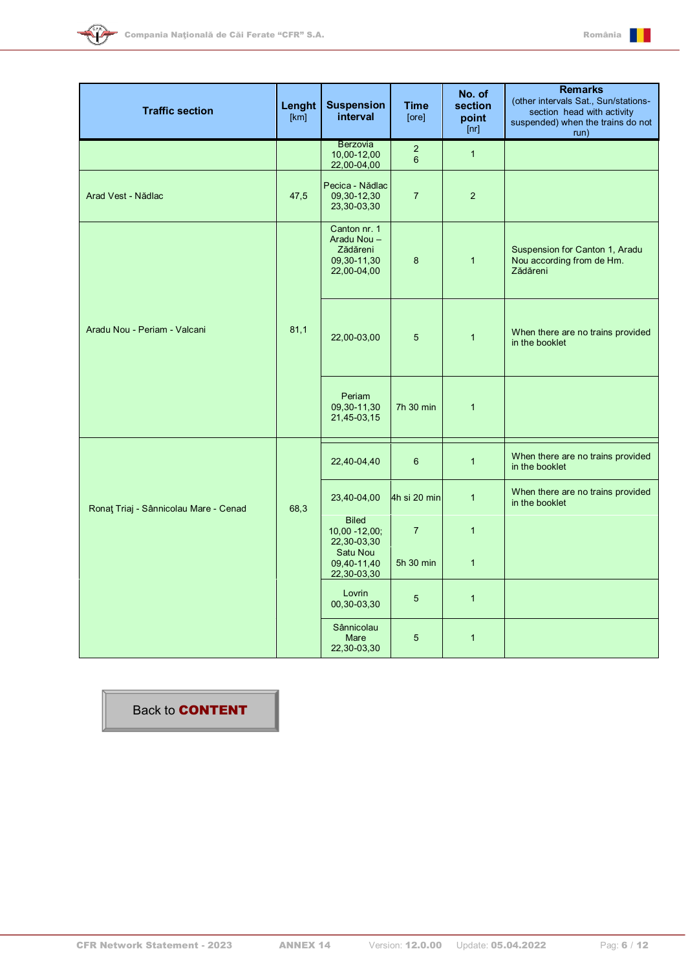



| <b>Traffic section</b>                | Lenght<br>[km] | <b>Suspension</b><br>interval                                        | <b>Time</b><br>[ore]                      | No. of<br>section<br>point<br>[nr] | <b>Remarks</b><br>(other intervals Sat., Sun/stations-<br>section head with activity<br>suspended) when the trains do not<br>run) |
|---------------------------------------|----------------|----------------------------------------------------------------------|-------------------------------------------|------------------------------------|-----------------------------------------------------------------------------------------------------------------------------------|
|                                       |                | Berzovia<br>10,00-12,00<br>22,00-04,00                               | $\overline{\mathbf{c}}$<br>$6\phantom{a}$ | $\overline{1}$                     |                                                                                                                                   |
| Arad Vest - Nădlac                    | 47,5           | Pecica - Nădlac<br>09,30-12,30<br>23,30-03,30                        | $\overline{7}$                            | $\overline{2}$                     |                                                                                                                                   |
|                                       |                | Canton nr. 1<br>Aradu Nou-<br>Zădăreni<br>09,30-11,30<br>22,00-04,00 | $\bf8$                                    | $\mathbf{1}$                       | Suspension for Canton 1, Aradu<br>Nou according from de Hm.<br>Zădăreni                                                           |
| Aradu Nou - Periam - Valcani          | 81,1           | 22,00-03,00                                                          | $\overline{5}$                            | $\overline{1}$                     | When there are no trains provided<br>in the booklet                                                                               |
|                                       |                | Periam<br>09,30-11,30<br>21,45-03,15                                 | 7h 30 min                                 | $\overline{1}$                     |                                                                                                                                   |
|                                       |                | 22,40-04,40                                                          | 6                                         | $\overline{1}$                     | When there are no trains provided<br>in the booklet                                                                               |
| Ronat Triaj - Sânnicolau Mare - Cenad | 68,3           | 23,40-04,00                                                          | 4h si 20 min                              | $\overline{1}$                     | When there are no trains provided<br>in the booklet                                                                               |
|                                       |                | <b>Biled</b><br>$10,00 - 12,00;$<br>22,30-03,30                      | $\overline{7}$                            | $\overline{1}$                     |                                                                                                                                   |
|                                       |                | Satu Nou<br>09,40-11,40<br>22,30-03,30                               | 5h 30 min                                 | $\mathbf{1}$                       |                                                                                                                                   |
|                                       |                | Lovrin<br>00,30-03,30                                                | 5                                         | $\mathbf{1}$                       |                                                                                                                                   |
|                                       |                | Sânnicolau<br>Mare<br>22,30-03,30                                    | 5                                         | $\mathbf{1}$                       |                                                                                                                                   |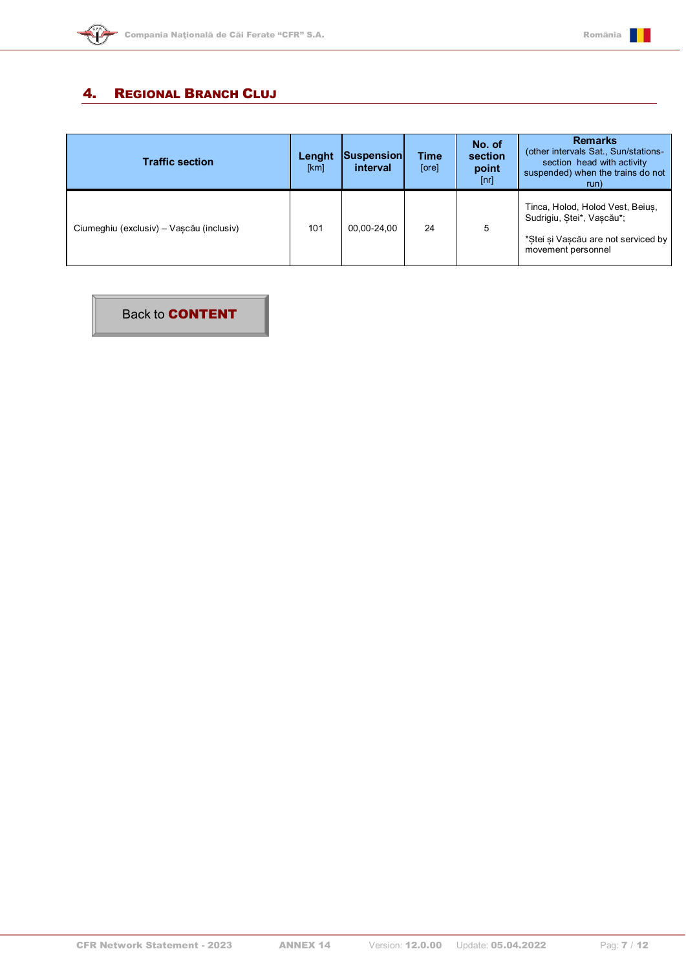



#### <span id="page-6-0"></span>4. REGIONAL BRANCH CLUJ

| <b>Traffic section</b>                   | Lenght<br>[km] | Suspension<br>interval | <b>Time</b><br>[ore] | No. of<br>section<br>point<br>[nr] | <b>Remarks</b><br>(other intervals Sat., Sun/stations-<br>section head with activity<br>suspended) when the trains do not<br>run) |
|------------------------------------------|----------------|------------------------|----------------------|------------------------------------|-----------------------------------------------------------------------------------------------------------------------------------|
| Ciumeghiu (exclusiv) – Vascău (inclusiv) | 101            | 00.00-24.00            | 24                   | 5                                  | Tinca, Holod, Holod Vest, Beius,<br>Sudrigiu, Stei*, Vascău*;<br>*Stei și Vascău are not serviced by<br>movement personnel        |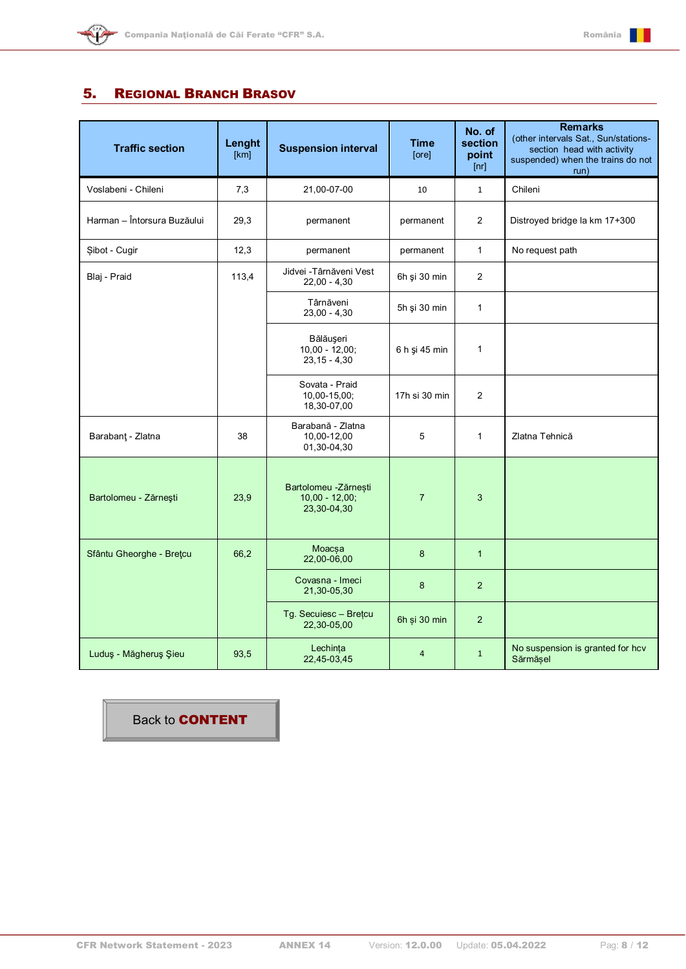

#### <span id="page-7-0"></span>5. REGIONAL BRANCH BRASOV

| <b>Traffic section</b>      | Lenght<br>[km] | <b>Suspension interval</b>                              | <b>Time</b><br>[ore] | No. of<br>section<br>point<br>[nr] | <b>Remarks</b><br>(other intervals Sat., Sun/stations-<br>section head with activity<br>suspended) when the trains do not<br>run) |
|-----------------------------|----------------|---------------------------------------------------------|----------------------|------------------------------------|-----------------------------------------------------------------------------------------------------------------------------------|
| Voslabeni - Chileni         | 7,3            | 21,00-07-00                                             | 10                   | $\mathbf{1}$                       | Chileni                                                                                                                           |
| Harman - Întorsura Buzăului | 29,3           | permanent                                               | permanent            | $\overline{2}$                     | Distroyed bridge la km 17+300                                                                                                     |
| Şibot - Cugir               | 12,3           | permanent                                               | permanent            | $\mathbf{1}$                       | No request path                                                                                                                   |
| Blaj - Praid                | 113,4          | Jidvei - Târnăveni Vest<br>$22,00 - 4,30$               | 6h şi 30 min         | 2                                  |                                                                                                                                   |
|                             |                | Târnăveni<br>$23,00 - 4,30$                             | 5h și 30 min         | $\mathbf{1}$                       |                                                                                                                                   |
|                             |                | Bălăușeri<br>$10,00 - 12,00$ ;<br>$23, 15 - 4, 30$      | 6 h și 45 min        | $\mathbf{1}$                       |                                                                                                                                   |
|                             |                | Sovata - Praid<br>10,00-15,00;<br>18,30-07,00           | 17h si 30 min        | 2                                  |                                                                                                                                   |
| Barabant - Zlatna           | 38             | Barabană - Zlatna<br>10,00-12,00<br>01,30-04,30         | 5                    | $\mathbf{1}$                       | Zlatna Tehnică                                                                                                                    |
| Bartolomeu - Zărnești       | 23,9           | Bartolomeu -Zărnești<br>$10,00 - 12,00;$<br>23,30-04,30 | $\overline{7}$       | 3                                  |                                                                                                                                   |
| Sfântu Gheorghe - Bretcu    | 66,2           | Moacsa<br>22,00-06,00                                   | 8                    | $\mathbf{1}$                       |                                                                                                                                   |
|                             |                | Covasna - Imeci<br>21,30-05,30                          | 8                    | $\overline{2}$                     |                                                                                                                                   |
|                             |                | Tg. Secuiesc - Brețcu<br>22,30-05,00                    | 6h și 30 min         | 2                                  |                                                                                                                                   |
| Luduş - Măgheruş Şieu       | 93,5           | Lechința<br>22,45-03,45                                 | $\overline{4}$       | $\mathbf{1}$                       | No suspension is granted for hcv<br>Sărmășel                                                                                      |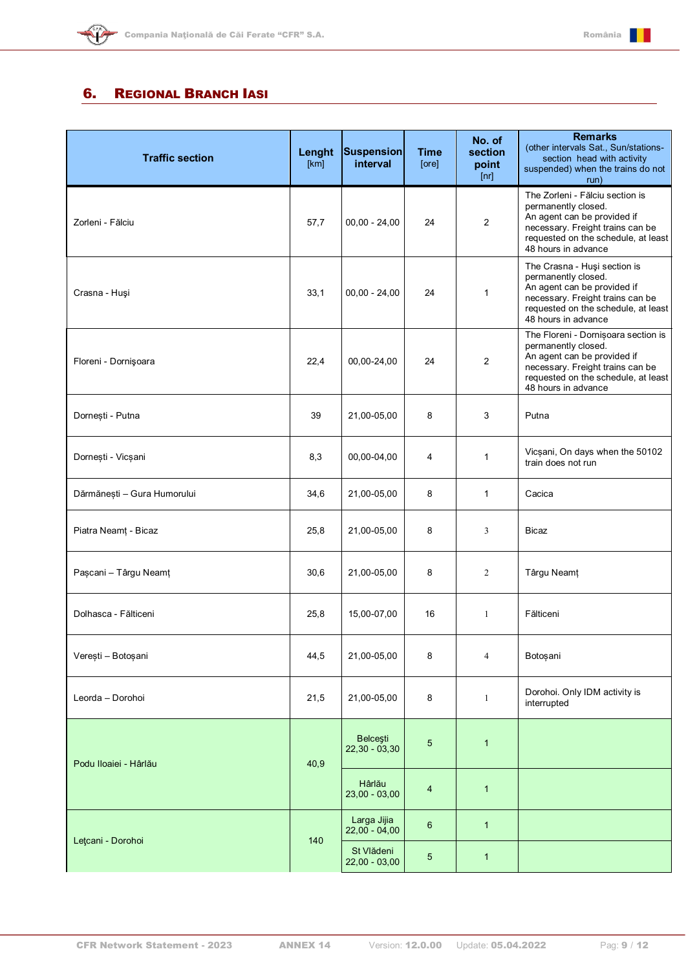

<span id="page-8-0"></span>

| <b>Traffic section</b>      | Lenght<br>[km] | <b>Suspension</b><br>interval      | <b>Time</b><br>[ore] | No. of<br>section<br>point<br>[nr] | <b>Remarks</b><br>(other intervals Sat., Sun/stations-<br>section head with activity<br>suspended) when the trains do not<br>run)                                                           |
|-----------------------------|----------------|------------------------------------|----------------------|------------------------------------|---------------------------------------------------------------------------------------------------------------------------------------------------------------------------------------------|
| Zorleni - Fălciu            | 57,7           | $00,00 - 24,00$                    | 24                   | $\overline{c}$                     | The Zorleni - Fălciu section is<br>permanently closed.<br>An agent can be provided if<br>necessary. Freight trains can be<br>requested on the schedule, at least<br>48 hours in advance     |
| Crasna - Huși               | 33,1           | $00,00 - 24,00$                    | 24                   | 1                                  | The Crasna - Huşi section is<br>permanently closed.<br>An agent can be provided if<br>necessary. Freight trains can be<br>requested on the schedule, at least<br>48 hours in advance        |
| Floreni - Dornişoara        | 22,4           | 00,00-24,00                        | 24                   | 2                                  | The Floreni - Dornișoara section is<br>permanently closed.<br>An agent can be provided if<br>necessary. Freight trains can be<br>requested on the schedule, at least<br>48 hours in advance |
| Dornesti - Putna            | 39             | 21,00-05,00                        | 8                    | 3                                  | Putna                                                                                                                                                                                       |
| Dornești - Vicșani          | 8,3            | 00,00-04,00                        | 4                    | 1                                  | Vicșani, On days when the 50102<br>train does not run                                                                                                                                       |
| Dărmănești - Gura Humorului | 34,6           | 21,00-05,00                        | 8                    | 1                                  | Cacica                                                                                                                                                                                      |
| Piatra Neamț - Bicaz        | 25,8           | 21,00-05,00                        | 8                    | 3                                  | Bicaz                                                                                                                                                                                       |
| Pașcani - Târgu Neamț       | 30,6           | 21,00-05,00                        | 8                    | 2                                  | Târgu Neamț                                                                                                                                                                                 |
| Dolhasca - Fălticeni        | 25,8           | 15,00-07,00                        | 16                   | 1                                  | Fălticeni                                                                                                                                                                                   |
| Verești - Botoșani          | 44,5           | 21,00-05,00                        | 8                    | 4                                  | Botoșani                                                                                                                                                                                    |
| Leorda - Dorohoi            | 21,5           | 21,00-05,00                        | 8                    | $\mathbf{1}$                       | Dorohoi. Only IDM activity is<br>interrupted                                                                                                                                                |
| Podu Iloaiei - Hârlău       | 40,9           | <b>Belcesti</b><br>$22,30 - 03,30$ | 5                    | $\mathbf{1}$                       |                                                                                                                                                                                             |
|                             |                | Hârlău<br>$23,00 - 03,00$          | 4                    | 1                                  |                                                                                                                                                                                             |
| Lețcani - Dorohoi           |                | Larga Jijia<br>$22,00 - 04,00$     | $6\phantom{1}$       | $\mathbf{1}$                       |                                                                                                                                                                                             |
|                             | 140            | St Vlădeni<br>$22,00 - 03,00$      | 5                    | $\mathbf{1}$                       |                                                                                                                                                                                             |

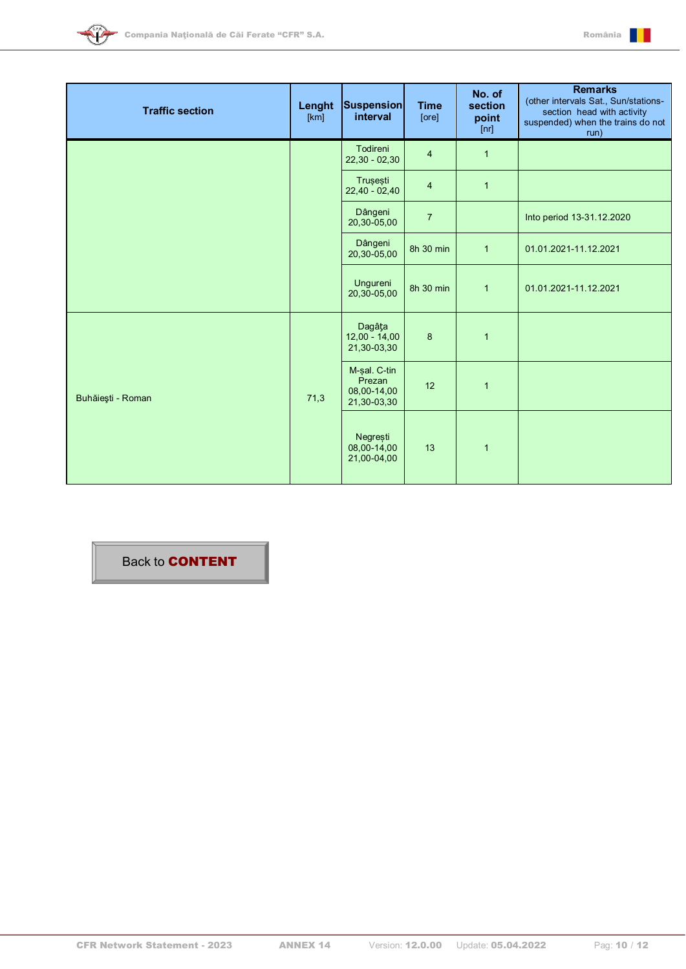



| <b>Traffic section</b> | Lenght<br>[km] | <b>Suspension</b><br>interval                        | <b>Time</b><br>[ore] | No. of<br>section<br>point<br>[nr] | <b>Remarks</b><br>(other intervals Sat., Sun/stations-<br>section head with activity<br>suspended) when the trains do not<br>run) |
|------------------------|----------------|------------------------------------------------------|----------------------|------------------------------------|-----------------------------------------------------------------------------------------------------------------------------------|
|                        |                | Todireni<br>$22,30 - 02,30$                          | $\overline{4}$       | $\mathbf{1}$                       |                                                                                                                                   |
|                        |                | Trusesti<br>$22,40 - 02,40$                          | $\overline{4}$       | $\mathbf{1}$                       |                                                                                                                                   |
|                        |                | Dângeni<br>20,30-05,00                               | $\overline{7}$       |                                    | Into period 13-31.12.2020                                                                                                         |
|                        |                | Dângeni<br>20,30-05,00                               | 8h 30 min            | $\mathbf{1}$                       | 01.01.2021-11.12.2021                                                                                                             |
|                        |                | Ungureni<br>20,30-05,00                              | 8h 30 min            | $\mathbf{1}$                       | 01.01.2021-11.12.2021                                                                                                             |
| Buhăiești - Roman      | 71,3           | Dagâța<br>$12,00 - 14,00$<br>21,30-03,30             | $\boldsymbol{8}$     | $\mathbf{1}$                       |                                                                                                                                   |
|                        |                | M-sal. C-tin<br>Prezan<br>08,00-14,00<br>21,30-03,30 | 12                   | $\mathbf{1}$                       |                                                                                                                                   |
|                        |                | Negrești<br>08,00-14,00<br>21,00-04,00               | 13                   | $\mathbf{1}$                       |                                                                                                                                   |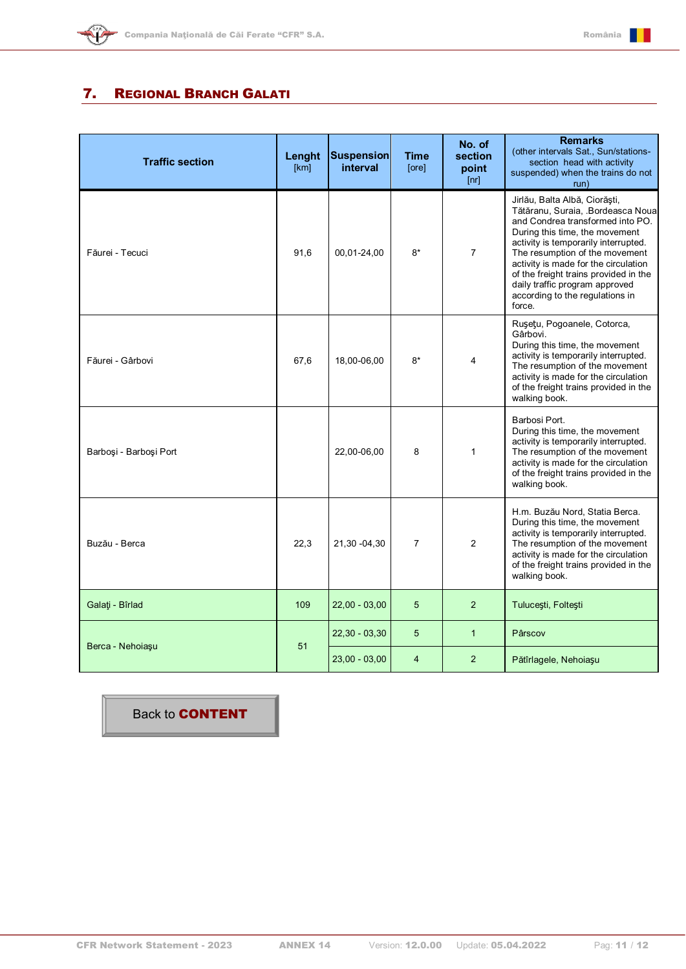

## <span id="page-10-0"></span>7. REGIONAL BRANCH GALATI

| <b>Traffic section</b> | Lenght<br>[km] | <b>Suspension</b><br>interval | Time<br>[ore]  | No. of<br>section<br>point<br>[nr] | <b>Remarks</b><br>(other intervals Sat., Sun/stations-<br>section head with activity<br>suspended) when the trains do not<br>run)                                                                                                                                                                                                                                                 |
|------------------------|----------------|-------------------------------|----------------|------------------------------------|-----------------------------------------------------------------------------------------------------------------------------------------------------------------------------------------------------------------------------------------------------------------------------------------------------------------------------------------------------------------------------------|
| Făurei - Tecuci        | 91,6           | 00,01-24,00                   | $8*$           | $\overline{7}$                     | Jirlău, Balta Albă, Ciorăști,<br>Tătăranu, Suraia, Bordeasca Noua<br>and Condrea transformed into PO.<br>During this time, the movement<br>activity is temporarily interrupted.<br>The resumption of the movement<br>activity is made for the circulation<br>of the freight trains provided in the<br>daily traffic program approved<br>according to the regulations in<br>force. |
| Făurei - Gârbovi       | 67,6           | 18,00-06,00                   | $8*$           | 4                                  | Rușețu, Pogoanele, Cotorca,<br>Gârbovi.<br>During this time, the movement<br>activity is temporarily interrupted.<br>The resumption of the movement<br>activity is made for the circulation<br>of the freight trains provided in the<br>walking book.                                                                                                                             |
| Barboși - Barboși Port |                | 22,00-06,00                   | 8              | $\mathbf{1}$                       | Barbosi Port.<br>During this time, the movement<br>activity is temporarily interrupted.<br>The resumption of the movement<br>activity is made for the circulation<br>of the freight trains provided in the<br>walking book.                                                                                                                                                       |
| Buzău - Berca          | 22,3           | 21,30 -04,30                  | $\overline{7}$ | $\overline{2}$                     | H.m. Buzău Nord, Statia Berca.<br>During this time, the movement<br>activity is temporarily interrupted.<br>The resumption of the movement<br>activity is made for the circulation<br>of the freight trains provided in the<br>walking book.                                                                                                                                      |
| Galați - Bîrlad        | 109            | $22,00 - 03,00$               | 5              | $\overline{2}$                     | Tulucești, Foltești                                                                                                                                                                                                                                                                                                                                                               |
|                        |                | $22,30 - 03,30$               | 5              | $\mathbf{1}$                       | Pârscov                                                                                                                                                                                                                                                                                                                                                                           |
| Berca - Nehoiașu       | 51             | $23,00 - 03,00$               | $\overline{4}$ | $\overline{2}$                     | Pătîrlagele, Nehoiașu                                                                                                                                                                                                                                                                                                                                                             |